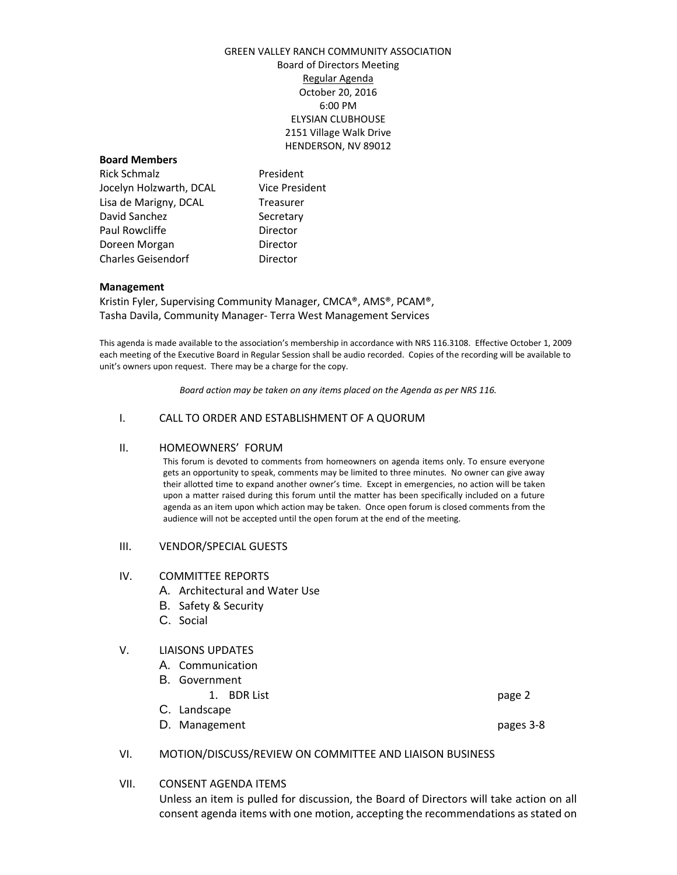# GREEN VALLEY RANCH COMMUNITY ASSOCIATION Board of Directors Meeting Regular Agenda October 20, 2016 6:00 PM ELYSIAN CLUBHOUSE 2151 Village Walk Drive HENDERSON, NV 89012

## **Board Members**

Rick Schmalz **President** Jocelyn Holzwarth, DCAL Vice President Lisa de Marigny, DCAL Treasurer David Sanchez Secretary Paul Rowcliffe **Director** Doreen Morgan **Director** Charles Geisendorf **Director** 

## **Management**

Kristin Fyler, Supervising Community Manager, CMCA®, AMS®, PCAM®, Tasha Davila, Community Manager- Terra West Management Services

This agenda is made available to the association's membership in accordance with NRS 116.3108. Effective October 1, 2009 each meeting of the Executive Board in Regular Session shall be audio recorded. Copies of the recording will be available to unit's owners upon request. There may be a charge for the copy.

*Board action may be taken on any items placed on the Agenda as per NRS 116.*

# I. CALL TO ORDER AND ESTABLISHMENT OF A QUORUM

#### II. HOMEOWNERS' FORUM

This forum is devoted to comments from homeowners on agenda items only. To ensure everyone gets an opportunity to speak, comments may be limited to three minutes. No owner can give away their allotted time to expand another owner's time. Except in emergencies, no action will be taken upon a matter raised during this forum until the matter has been specifically included on a future agenda as an item upon which action may be taken. Once open forum is closed comments from the audience will not be accepted until the open forum at the end of the meeting.

#### III. VENDOR/SPECIAL GUESTS

#### IV. COMMITTEE REPORTS

- A. Architectural and Water Use
- B. Safety & Security
- C. Social

# V. LIAISONS UPDATES

- A. Communication
- B. Government
	- 1. BDR List page 2
- C. Landscape
- D. Management pages 3-8

# VI. MOTION/DISCUSS/REVIEW ON COMMITTEE AND LIAISON BUSINESS

# VII. CONSENT AGENDA ITEMS

Unless an item is pulled for discussion, the Board of Directors will take action on all consent agenda items with one motion, accepting the recommendations as stated on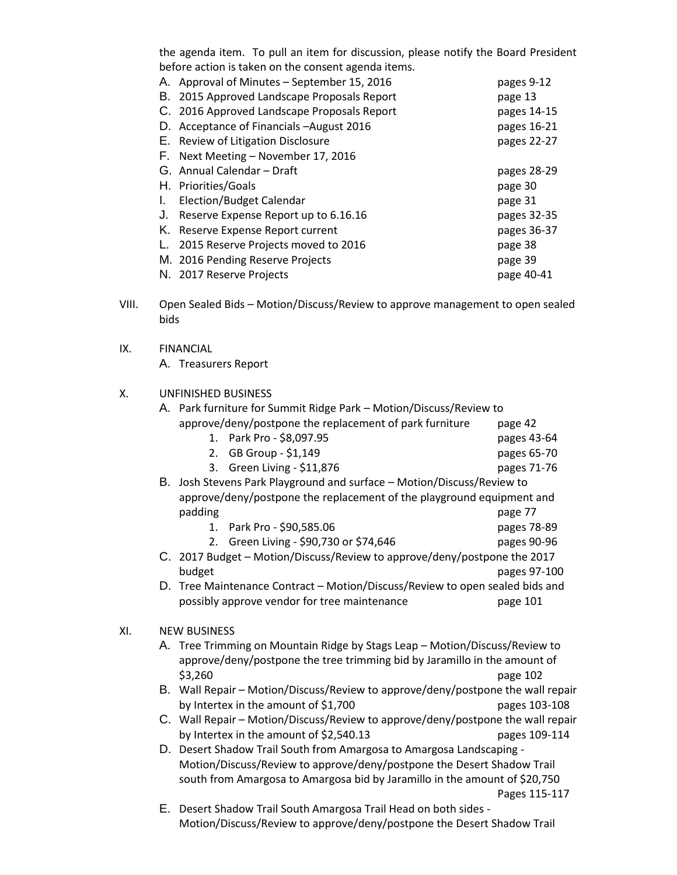the agenda item. To pull an item for discussion, please notify the Board President before action is taken on the consent agenda items.

| А. | Approval of Minutes - September 15, 2016    | pages 9-12  |
|----|---------------------------------------------|-------------|
| В. | 2015 Approved Landscape Proposals Report    | page 13     |
|    | C. 2016 Approved Landscape Proposals Report | pages 14-15 |
|    | D. Acceptance of Financials - August 2016   | pages 16-21 |
|    | E. Review of Litigation Disclosure          | pages 22-27 |
|    | F. Next Meeting – November 17, 2016         |             |
|    | G. Annual Calendar - Draft                  | pages 28-29 |
|    | H. Priorities/Goals                         | page 30     |
| L. | Election/Budget Calendar                    | page 31     |
| J. | Reserve Expense Report up to 6.16.16        | pages 32-35 |
|    | K. Reserve Expense Report current           | pages 36-37 |
| L. | 2015 Reserve Projects moved to 2016         | page 38     |
|    | M. 2016 Pending Reserve Projects            | page 39     |
|    | N. 2017 Reserve Projects                    | page 40-41  |

- VIII. Open Sealed Bids Motion/Discuss/Review to approve management to open sealed bids
- IX. FINANCIAL

A. Treasurers Report

# X. UNFINISHED BUSINESS

|     |                     | A. Park furniture for Summit Ridge Park - Motion/Discuss/Review to              |               |  |
|-----|---------------------|---------------------------------------------------------------------------------|---------------|--|
|     |                     | approve/deny/postpone the replacement of park furniture                         | page 42       |  |
|     |                     | 1. Park Pro - \$8,097.95                                                        | pages 43-64   |  |
|     |                     | 2. GB Group - \$1,149                                                           | pages 65-70   |  |
|     |                     | 3. Green Living - \$11,876                                                      | pages 71-76   |  |
|     |                     | B. Josh Stevens Park Playground and surface - Motion/Discuss/Review to          |               |  |
|     |                     | approve/deny/postpone the replacement of the playground equipment and           |               |  |
|     |                     | padding                                                                         | page 77       |  |
|     |                     | 1. Park Pro - \$90,585.06                                                       | pages 78-89   |  |
|     |                     | 2. Green Living - \$90,730 or \$74,646                                          | pages 90-96   |  |
|     |                     | C. 2017 Budget - Motion/Discuss/Review to approve/deny/postpone the 2017        |               |  |
|     |                     | budget                                                                          | pages 97-100  |  |
|     |                     | D. Tree Maintenance Contract - Motion/Discuss/Review to open sealed bids and    |               |  |
|     |                     | possibly approve vendor for tree maintenance                                    | page 101      |  |
| XI. | <b>NEW BUSINESS</b> |                                                                                 |               |  |
|     |                     | A. Tree Trimming on Mountain Ridge by Stags Leap - Motion/Discuss/Review to     |               |  |
|     |                     | approve/deny/postpone the tree trimming bid by Jaramillo in the amount of       |               |  |
|     |                     | \$3,260                                                                         | page 102      |  |
|     |                     | B. Wall Repair - Motion/Discuss/Review to approve/deny/postpone the wall repair |               |  |
|     |                     | by Intertex in the amount of \$1,700                                            | pages 103-108 |  |
|     |                     | C. Wall Repair - Motion/Discuss/Review to approve/deny/postpone the wall repair |               |  |
|     |                     | by Intertex in the amount of \$2,540.13                                         | pages 109-114 |  |
|     |                     | D. Desert Shadow Trail South from Amargosa to Amargosa Landscaping -            |               |  |
|     |                     | Motion/Discuss/Review to approve/deny/postpone the Desert Shadow Trail          |               |  |
|     |                     | south from Amargosa to Amargosa bid by Jaramillo in the amount of \$20,750      |               |  |
|     |                     |                                                                                 | Pages 115-117 |  |
|     |                     |                                                                                 |               |  |

E. Desert Shadow Trail South Amargosa Trail Head on both sides - Motion/Discuss/Review to approve/deny/postpone the Desert Shadow Trail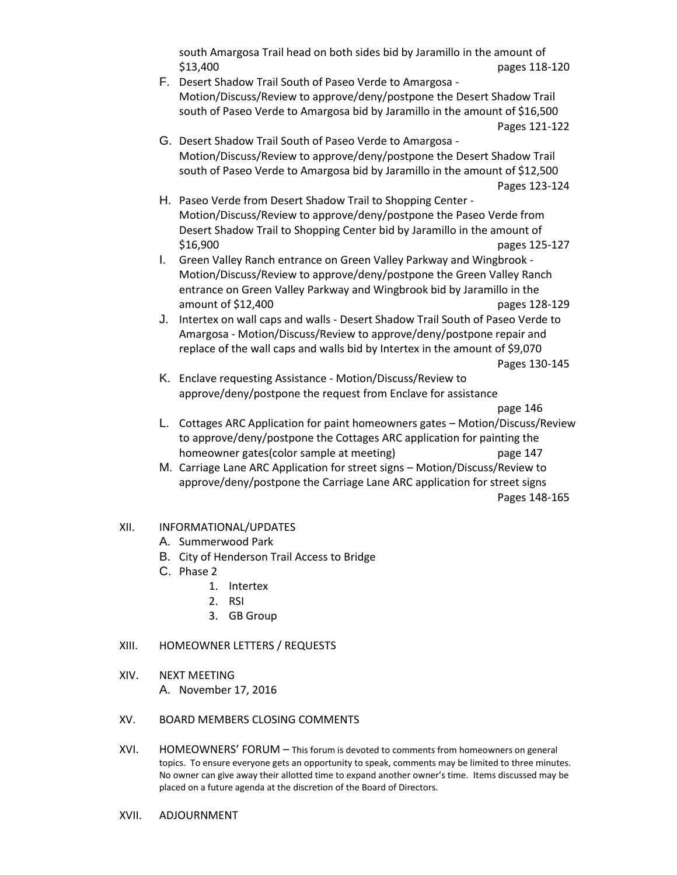south Amargosa Trail head on both sides bid by Jaramillo in the amount of \$13,400 pages 118-120

- F. Desert Shadow Trail South of Paseo Verde to Amargosa Motion/Discuss/Review to approve/deny/postpone the Desert Shadow Trail south of Paseo Verde to Amargosa bid by Jaramillo in the amount of \$16,500 Pages 121-122
- G. Desert Shadow Trail South of Paseo Verde to Amargosa Motion/Discuss/Review to approve/deny/postpone the Desert Shadow Trail south of Paseo Verde to Amargosa bid by Jaramillo in the amount of \$12,500 Pages 123-124
- H. Paseo Verde from Desert Shadow Trail to Shopping Center Motion/Discuss/Review to approve/deny/postpone the Paseo Verde from Desert Shadow Trail to Shopping Center bid by Jaramillo in the amount of \$16,900 pages 125-127
- I. Green Valley Ranch entrance on Green Valley Parkway and Wingbrook Motion/Discuss/Review to approve/deny/postpone the Green Valley Ranch entrance on Green Valley Parkway and Wingbrook bid by Jaramillo in the amount of \$12,400 pages 128-129
- J. Intertex on wall caps and walls Desert Shadow Trail South of Paseo Verde to Amargosa - Motion/Discuss/Review to approve/deny/postpone repair and replace of the wall caps and walls bid by Intertex in the amount of \$9,070

Pages 130-145

K. Enclave requesting Assistance - Motion/Discuss/Review to approve/deny/postpone the request from Enclave for assistance

page 146

- L. Cottages ARC Application for paint homeowners gates Motion/Discuss/Review to approve/deny/postpone the Cottages ARC application for painting the homeowner gates(color sample at meeting) page 147
- M. Carriage Lane ARC Application for street signs Motion/Discuss/Review to approve/deny/postpone the Carriage Lane ARC application for street signs Pages 148-165
- XII. INFORMATIONAL/UPDATES
	- A. Summerwood Park
	- B. City of Henderson Trail Access to Bridge
	- C. Phase 2
		- 1. Intertex
		- 2. RSI
		- 3. GB Group

# XIII. HOMEOWNER LETTERS / REQUESTS

XIV. NEXT MEETING

A. November 17, 2016

# XV. BOARD MEMBERS CLOSING COMMENTS

- XVI. HOMEOWNERS' FORUM This forum is devoted to comments from homeowners on general topics. To ensure everyone gets an opportunity to speak, comments may be limited to three minutes. No owner can give away their allotted time to expand another owner's time. Items discussed may be placed on a future agenda at the discretion of the Board of Directors.
- XVII. ADJOURNMENT